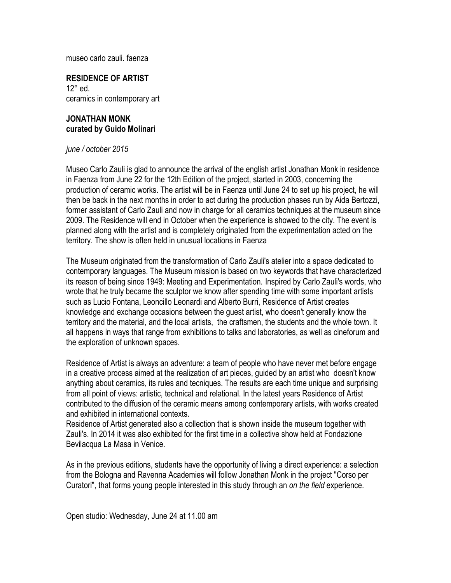museo carlo zauli. faenza

**RESIDENCE OF ARTIST** 12° ed. ceramics in contemporary art

# **JONATHAN MONK curated by Guido Molinari**

### *june / october 2015*

Museo Carlo Zauli is glad to announce the arrival of the english artist Jonathan Monk in residence in Faenza from June 22 for the 12th Edition of the project, started in 2003, concerning the production of ceramic works. The artist will be in Faenza until June 24 to set up his project, he will then be back in the next months in order to act during the production phases run by Aida Bertozzi, former assistant of Carlo Zauli and now in charge for all ceramics techniques at the museum since 2009. The Residence will end in October when the experience is showed to the city. The event is planned along with the artist and is completely originated from the experimentation acted on the territory. The show is often held in unusual locations in Faenza

The Museum originated from the transformation of Carlo Zauli's atelier into a space dedicated to contemporary languages. The Museum mission is based on two keywords that have characterized its reason of being since 1949: Meeting and Experimentation. Inspired by Carlo Zauli's words, who wrote that he truly became the sculptor we know after spending time with some important artists such as Lucio Fontana, Leoncillo Leonardi and Alberto Burri, Residence of Artist creates knowledge and exchange occasions between the guest artist, who doesn't generally know the territory and the material, and the local artists, the craftsmen, the students and the whole town. It all happens in ways that range from exhibitions to talks and laboratories, as well as cineforum and the exploration of unknown spaces.

Residence of Artist is always an adventure: a team of people who have never met before engage in a creative process aimed at the realization of art pieces, guided by an artist who doesn't know anything about ceramics, its rules and tecniques. The results are each time unique and surprising from all point of views: artistic, technical and relational. In the latest years Residence of Artist contributed to the diffusion of the ceramic means among contemporary artists, with works created and exhibited in international contexts.

Residence of Artist generated also a collection that is shown inside the museum together with Zauli's. In 2014 it was also exhibited for the first time in a collective show held at Fondazione Bevilacqua La Masa in Venice.

As in the previous editions, students have the opportunity of living a direct experience: a selection from the Bologna and Ravenna Academies will follow Jonathan Monk in the project "Corso per Curatori", that forms young people interested in this study through an *on the field* experience.

Open studio: Wednesday, June 24 at 11.00 am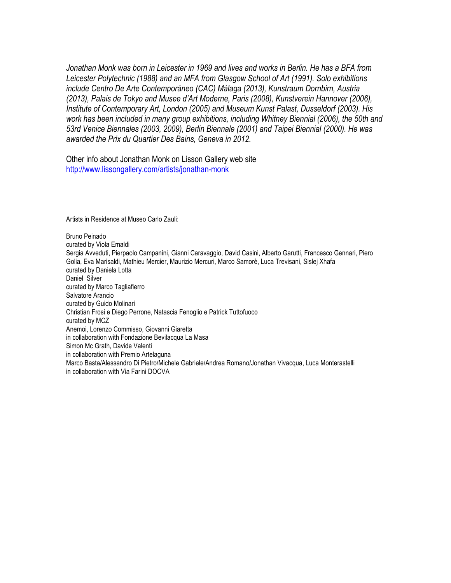*Jonathan Monk was born in Leicester in 1969 and lives and works in Berlin. He has a BFA from Leicester Polytechnic (1988) and an MFA from Glasgow School of Art (1991). Solo exhibitions include Centro De Arte Contemporáneo (CAC) Málaga (2013), Kunstraum Dornbirn, Austria (2013), Palais de Tokyo and Musee d'Art Moderne, Paris (2008), Kunstverein Hannover (2006), Institute of Contemporary Art, London (2005) and Museum Kunst Palast, Dusseldorf (2003). His work has been included in many group exhibitions, including Whitney Biennial (2006), the 50th and 53rd Venice Biennales (2003, 2009), Berlin Biennale (2001) and Taipei Biennial (2000). He was awarded the Prix du Quartier Des Bains, Geneva in 2012.*

Other info about Jonathan Monk on Lisson Gallery web site http://www.lissongallery.com/artists/jonathan-monk

#### Artists in Residence at Museo Carlo Zauli:

Bruno Peinado curated by Viola Emaldi Sergia Avveduti, Pierpaolo Campanini, Gianni Caravaggio, David Casini, Alberto Garutti, Francesco Gennari, Piero Golia, Eva Marisaldi, Mathieu Mercier, Maurizio Mercuri, Marco Samorè, Luca Trevisani, Sislej Xhafa curated by Daniela Lotta Daniel Silver curated by Marco Tagliafierro Salvatore Arancio curated by Guido Molinari Christian Frosi e Diego Perrone, Natascia Fenoglio e Patrick Tuttofuoco curated by MCZ Anemoi, Lorenzo Commisso, Giovanni Giaretta in collaboration with Fondazione Bevilacqua La Masa Simon Mc Grath, Davide Valenti in collaboration with Premio Artelaguna Marco Basta/Alessandro Di Pietro/Michele Gabriele/Andrea Romano/Jonathan Vivacqua, Luca Monterastelli in collaboration with Via Farini DOCVA